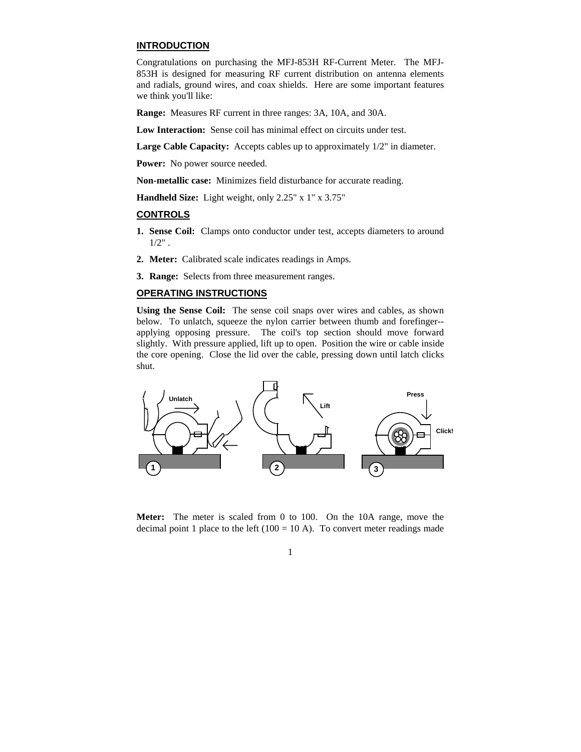### **INTRODUCTION**

Congratulations on purchasing the MFJ-853H RF-Current Meter. The MFJ-853H is designed for measuring RF current distribution on antenna elements and radials, ground wires, and coax shields. Here are some important features we think you'll like:

**Range:** Measures RF current in three ranges: 3A, 10A, and 30A.

**Low Interaction:** Sense coil has minimal effect on circuits under test.

Large Cable Capacity: Accepts cables up to approximately  $1/2$ " in diameter.

Power: No power source needed.

**Non-metallic case:** Minimizes field disturbance for accurate reading.

**Handheld Size:** Light weight, only 2.25" x 1" x 3.75"

## **CONTROLS**

- **1. Sense Coil:** Clamps onto conductor under test, accepts diameters to around  $1/2"$ .
- **2. Meter:** Calibrated scale indicates readings in Amps.
- **3. Range:** Selects from three measurement ranges.

# **OPERATING INSTRUCTIONS**

**Using the Sense Coil:** The sense coil snaps over wires and cables, as shown below. To unlatch, squeeze the nylon carrier between thumb and forefinger- applying opposing pressure. The coil's top section should move forward slightly. With pressure applied, lift up to open. Position the wire or cable inside the core opening. Close the lid over the cable, pressing down until latch clicks shut.



**Meter:** The meter is scaled from 0 to 100. On the 10A range, move the decimal point 1 place to the left  $(100 = 10 \text{ A})$ . To convert meter readings made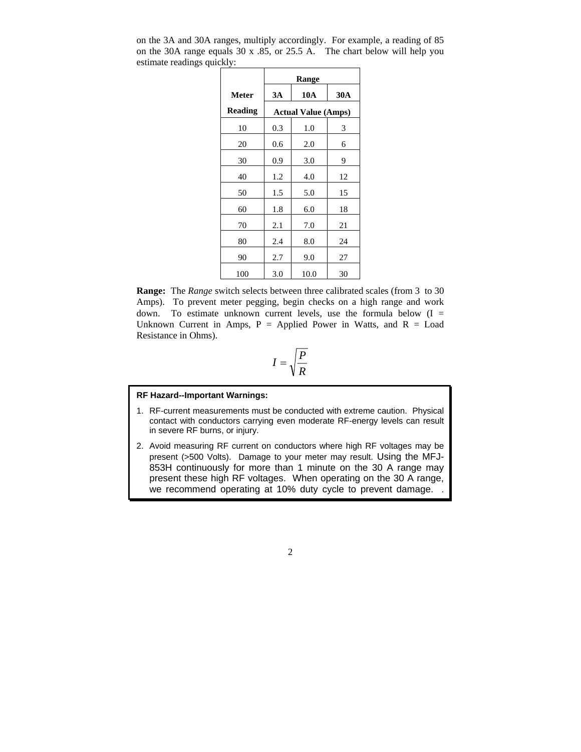|                | Range                      |            |     |
|----------------|----------------------------|------------|-----|
| <b>Meter</b>   | 3A                         | <b>10A</b> | 30A |
| <b>Reading</b> | <b>Actual Value (Amps)</b> |            |     |
| 10             | 0.3                        | 1.0        | 3   |
| 20             | 0.6                        | 2.0        | 6   |
| 30             | 0.9                        | 3.0        | 9   |
| 40             | 1.2                        | 4.0        | 12  |
| 50             | 1.5                        | 5.0        | 15  |
| 60             | 1.8                        | 6.0        | 18  |
| 70             | 2.1                        | 7.0        | 21  |
| 80             | 2.4                        | 8.0        | 24  |
| 90             | 2.7                        | 9.0        | 27  |
| 100            | 3.0                        | 10.0       | 30  |

on the 3A and 30A ranges, multiply accordingly. For example, a reading of 85 on the 30A range equals 30 x .85, or 25.5 A. The chart below will help you estimate readings quickly:

**Range:** The *Range* switch selects between three calibrated scales (from 3 to 30 Amps). To prevent meter pegging, begin checks on a high range and work down. To estimate unknown current levels, use the formula below  $(I =$ Unknown Current in Amps,  $P =$  Applied Power in Watts, and  $R =$  Load Resistance in Ohms).

$$
I = \sqrt{\frac{P}{R}}
$$

#### **RF Hazard--Important Warnings:**

- 1. RF-current measurements must be conducted with extreme caution. Physical contact with conductors carrying even moderate RF-energy levels can result in severe RF burns, or injury.
- 2. Avoid measuring RF current on conductors where high RF voltages may be present (>500 Volts). Damage to your meter may result. Using the MFJ-853H continuously for more than 1 minute on the 30 A range may present these high RF voltages. When operating on the 30 A range, we recommend operating at 10% duty cycle to prevent damage.